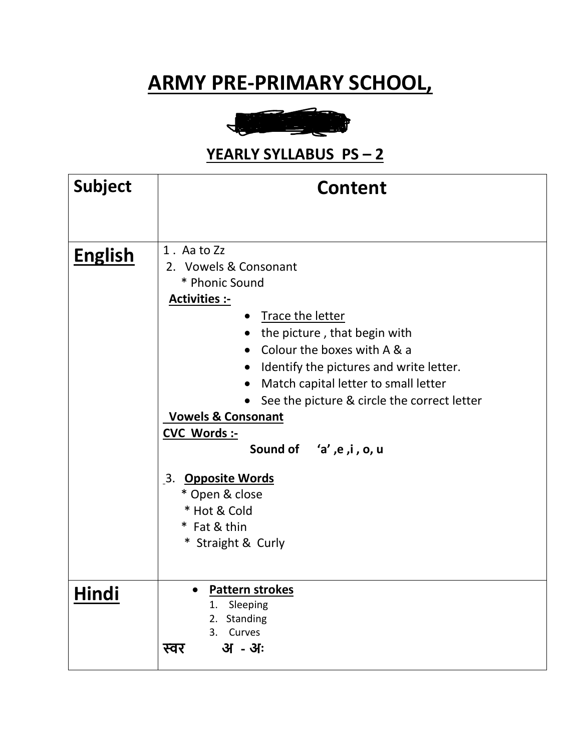## **ARMY PRE-PRIMARY SCHOOL,**



#### YEARLY SYLLABUS PS-2

| <b>Subject</b> | Content                                                                                                                                                                                                                                                                                                                                                                                                                                                                                          |  |
|----------------|--------------------------------------------------------------------------------------------------------------------------------------------------------------------------------------------------------------------------------------------------------------------------------------------------------------------------------------------------------------------------------------------------------------------------------------------------------------------------------------------------|--|
|                |                                                                                                                                                                                                                                                                                                                                                                                                                                                                                                  |  |
| <b>English</b> | 1. Aa to Zz<br>2. Vowels & Consonant<br>* Phonic Sound<br><b>Activities :-</b><br>Trace the letter<br>$\bullet$<br>the picture, that begin with<br>• Colour the boxes with A & a<br>• Identify the pictures and write letter.<br>Match capital letter to small letter<br>See the picture & circle the correct letter<br><b>Vowels &amp; Consonant</b><br><b>CVC Words:-</b><br>Sound of 'a',e,i,o,u<br>3. Opposite Words<br>* Open & close<br>* Hot & Cold<br>* Fat & thin<br>* Straight & Curly |  |
| Hindi          | <b>Pattern strokes</b><br>Sleeping<br>1.<br>2. Standing<br>3. Curves<br>अ - अः<br>स्वर                                                                                                                                                                                                                                                                                                                                                                                                           |  |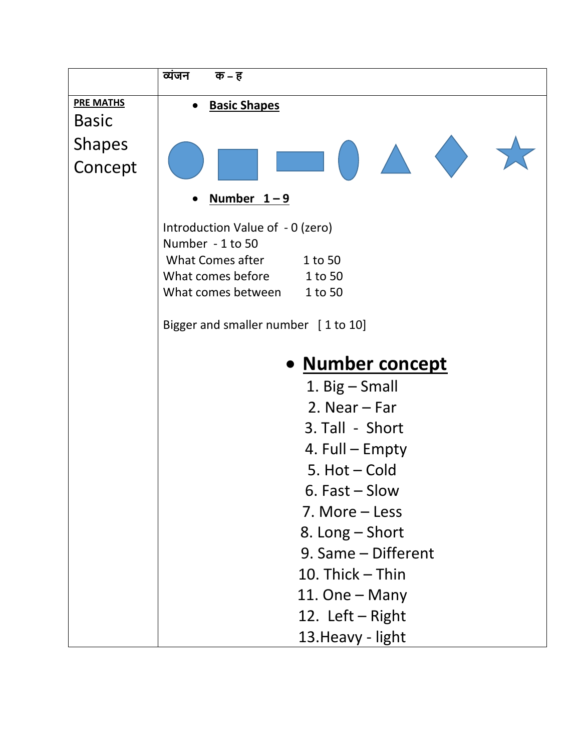|                  | व्यंजन<br>क – ह                                      |
|------------------|------------------------------------------------------|
| <b>PRE MATHS</b> | <b>Basic Shapes</b>                                  |
| <b>Basic</b>     |                                                      |
| <b>Shapes</b>    |                                                      |
| Concept          |                                                      |
|                  | Number $1-9$                                         |
|                  | Introduction Value of - 0 (zero)<br>Number - 1 to 50 |
|                  | What Comes after<br>1 to 50                          |
|                  | What comes before 1 to 50                            |
|                  | What comes between<br>1 to 50                        |
|                  | Bigger and smaller number [1 to 10]                  |
|                  | · Number concept                                     |
|                  | 1. $Big-Small$                                       |
|                  | 2. Near $-$ Far                                      |
|                  | 3. Tall - Short                                      |
|                  | 4. Full – Empty                                      |
|                  | 5. Hot - Cold                                        |
|                  | $6.$ Fast $-$ Slow                                   |
|                  | 7. More – Less                                       |
|                  | 8. Long – Short                                      |
|                  | 9. Same - Different                                  |
|                  | 10. Thick $-$ Thin                                   |
|                  | 11. One - Many                                       |
|                  | 12. Left $-$ Right                                   |
|                  | 13. Heavy - light                                    |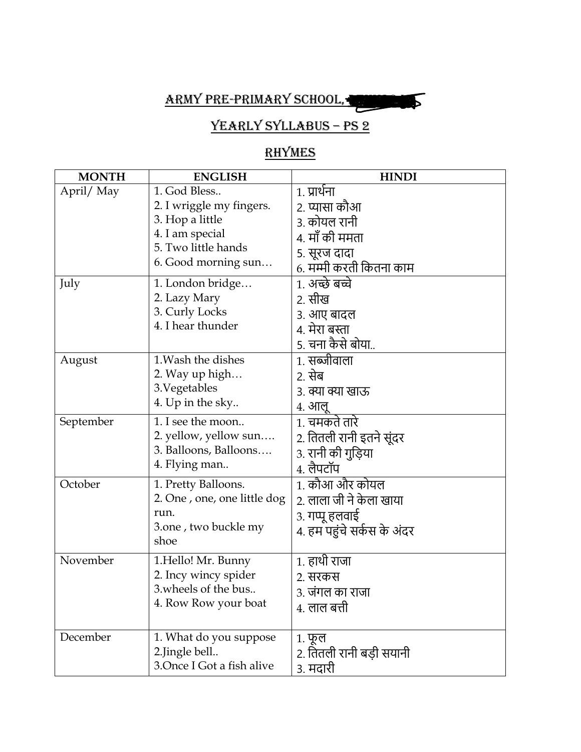ARMY PRE-PRIMARY SCHOOL,

#### YEARLY SYLLABUS - PS 2

#### **RHYMES**

| <b>MONTH</b> | <b>ENGLISH</b>              | <b>HINDI</b>               |
|--------------|-----------------------------|----------------------------|
| April/May    | 1. God Bless                | १. प्रार्थना               |
|              | 2. I wriggle my fingers.    | 2. प्यासा कौआ              |
|              | 3. Hop a little             | 3. कोयल रानी               |
|              | 4. I am special             | 4. माँ की ममता             |
|              | 5. Two little hands         | 5. सूरज दादा               |
|              | 6. Good morning sun         | 6. मम्मी करती कितना काम    |
| July         | 1. London bridge            | 1. अच्छे बच्चे             |
|              | 2. Lazy Mary                | 2. सीख                     |
|              | 3. Curly Locks              | ३. आए बादल                 |
|              | 4. I hear thunder           | 4. मेरा बस्ता              |
|              |                             | 5. चना कैसे बोया           |
| August       | 1. Wash the dishes          | 1. सब्जीवाला               |
|              | 2. Way up high              | 2. सेब                     |
|              | 3. Vegetables               | ३. क्या क्या खाऊ           |
|              | 4. Up in the sky            | ४. आलू                     |
| September    | 1. I see the moon           | 1. चमकते तारे              |
|              | 2. yellow, yellow sun       | 2. तितली रानी इतने सूंदर   |
|              | 3. Balloons, Balloons       | 3. रानी की गुड़िया         |
|              | 4. Flying man               | 4. लैपटॉप                  |
| October      | 1. Pretty Balloons.         | 1. कौआ और कोयल             |
|              | 2. One, one, one little dog | 2. लाला जी ने केला खाया    |
|              | run.                        | ३. गप्पू हलवाई             |
|              | 3.one, two buckle my        | 4. हम पहुंचे सर्कस के अंदर |
|              | shoe                        |                            |
| November     | 1. Hello! Mr. Bunny         | 1. हाथी राजा               |
|              | 2. Incy wincy spider        | 2. सरकस                    |
|              | 3. wheels of the bus        | ३. जंगल का राजा            |
|              | 4. Row Row your boat        | $4.$ लाल बत्ती             |
|              |                             |                            |
| December     | 1. What do you suppose      | १. फूल                     |
|              | 2.Jingle bell               | 2. तितली रानी बड़ी सयानी   |
|              | 3. Once I Got a fish alive  | ३. मदारी                   |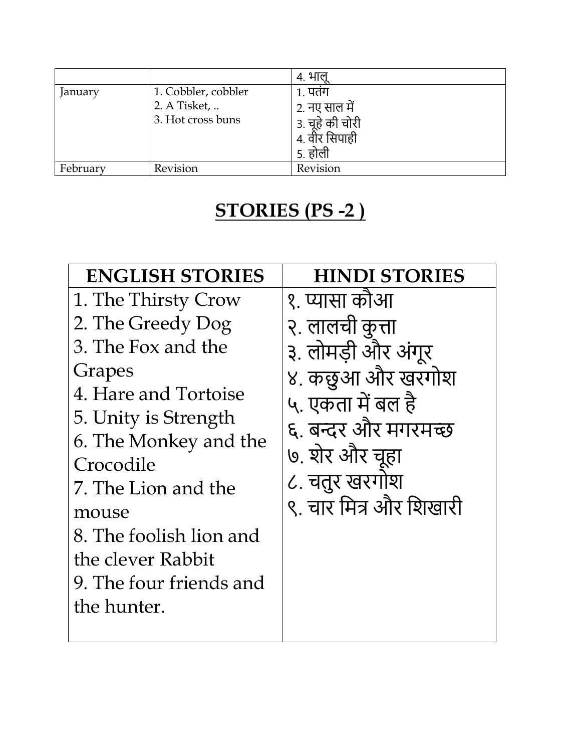|          |                     | ४. भालू         |
|----------|---------------------|-----------------|
| January  | 1. Cobbler, cobbler | 1. पतंग         |
|          | 2. A Tisket,        | 2. नए साल में   |
|          | 3. Hot cross buns   | 3. चूहे की चोरी |
|          |                     | 4. वीर सिपाही   |
|          |                     | 5. होली         |
| February | Revision            | Revision        |

## **STORIES (PS -2 )**

| <b>ENGLISH STORIES</b>                                                                                                                                                                             | <b>HINDI STORIES</b>                                                                                                                            |
|----------------------------------------------------------------------------------------------------------------------------------------------------------------------------------------------------|-------------------------------------------------------------------------------------------------------------------------------------------------|
| 1. The Thirsty Crow                                                                                                                                                                                | १. प्यासा कौआ                                                                                                                                   |
| 2. The Greedy Dog                                                                                                                                                                                  | २. लालची कुत्ता                                                                                                                                 |
| 3. The Fox and the<br>Grapes<br>4. Hare and Tortoise<br>5. Unity is Strength<br>6. The Monkey and the<br>Crocodile<br>7. The Lion and the<br>mouse<br>8. The foolish lion and<br>the clever Rabbit | ३. लोमड़ी और अंगूर<br>४. कछुआ और खरगोश<br>५. एकता में बल है<br>६. बन्दर और मगरमच्छ<br>७. शेर और चूहा<br>८. चतुर खरगोश<br>९. चार मित्र और शिखारी |
| 9. The four friends and<br>the hunter.                                                                                                                                                             |                                                                                                                                                 |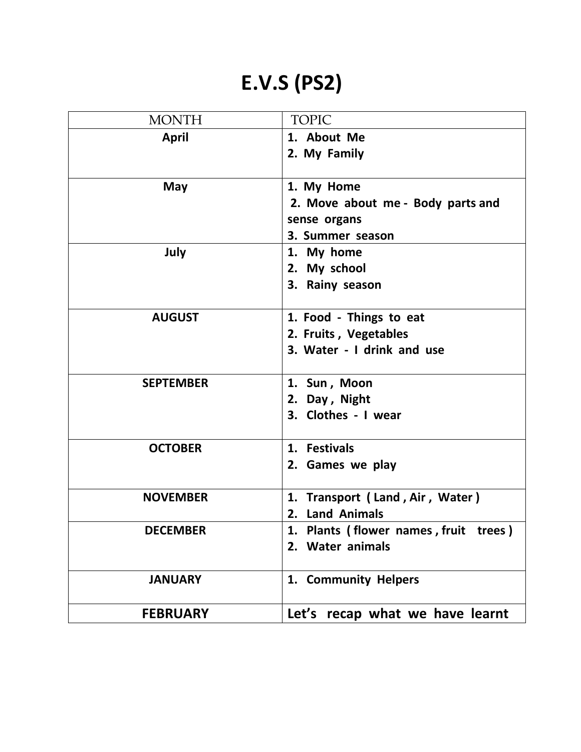# **E.V.S (PS2)**

| <b>MONTH</b>     | <b>TOPIC</b>                             |
|------------------|------------------------------------------|
| <b>April</b>     | 1. About Me                              |
|                  | 2. My Family                             |
|                  |                                          |
| May              | 1. My Home                               |
|                  | 2. Move about me - Body parts and        |
|                  | sense organs                             |
|                  | 3. Summer season                         |
| July             | 1. My home                               |
|                  | 2. My school                             |
|                  | 3. Rainy season                          |
|                  |                                          |
| <b>AUGUST</b>    | 1. Food - Things to eat                  |
|                  | 2. Fruits, Vegetables                    |
|                  | 3. Water - I drink and use               |
|                  |                                          |
| <b>SEPTEMBER</b> | 1. Sun, Moon                             |
|                  | 2. Day, Night                            |
|                  | 3. Clothes - I wear                      |
| <b>OCTOBER</b>   | 1. Festivals                             |
|                  | 2. Games we play                         |
|                  |                                          |
| <b>NOVEMBER</b>  | 1. Transport (Land, Air, Water)          |
|                  | 2. Land Animals                          |
| <b>DECEMBER</b>  | 1. Plants (flower names, fruit<br>trees) |
|                  | 2. Water animals                         |
| <b>JANUARY</b>   | 1. Community Helpers                     |
|                  |                                          |
| <b>FEBRUARY</b>  | Let's recap what we have learnt          |